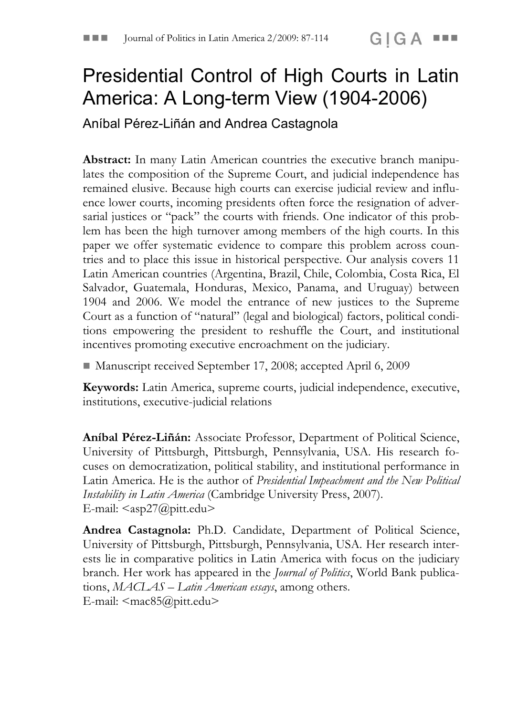# Presidential Control of High Courts in Latin America: A Long-term View (1904-2006)

Aníbal Pérez-Liñán and Andrea Castagnola

**Abstract:** In many Latin American countries the executive branch manipulates the composition of the Supreme Court, and judicial independence has remained elusive. Because high courts can exercise judicial review and influence lower courts, incoming presidents often force the resignation of adversarial justices or "pack" the courts with friends. One indicator of this problem has been the high turnover among members of the high courts. In this paper we offer systematic evidence to compare this problem across countries and to place this issue in historical perspective. Our analysis covers 11 Latin American countries (Argentina, Brazil, Chile, Colombia, Costa Rica, El Salvador, Guatemala, Honduras, Mexico, Panama, and Uruguay) between 1904 and 2006. We model the entrance of new justices to the Supreme Court as a function of "natural" (legal and biological) factors, political conditions empowering the president to reshuffle the Court, and institutional incentives promoting executive encroachment on the judiciary.

- Manuscript received September 17, 2008; accepted April 6, 2009

**Keywords:** Latin America, supreme courts, judicial independence, executive, institutions, executive-judicial relations

**Aníbal Pérez-Liñán:** Associate Professor, Department of Political Science, University of Pittsburgh, Pittsburgh, Pennsylvania, USA. His research focuses on democratization, political stability, and institutional performance in Latin America. He is the author of *Presidential Impeachment and the New Political Instability in Latin America* (Cambridge University Press, 2007). E-mail:  $\langle \text{asp27}(\hat{\omega})$ pitt.edu $\rangle$ 

**Andrea Castagnola:** Ph.D. Candidate, Department of Political Science, University of Pittsburgh, Pittsburgh, Pennsylvania, USA. Her research interests lie in comparative politics in Latin America with focus on the judiciary branch. Her work has appeared in the *Journal of Politics*, World Bank publications, *MACLAS – Latin American essays*, among others. E-mail: <mac85@pitt.edu>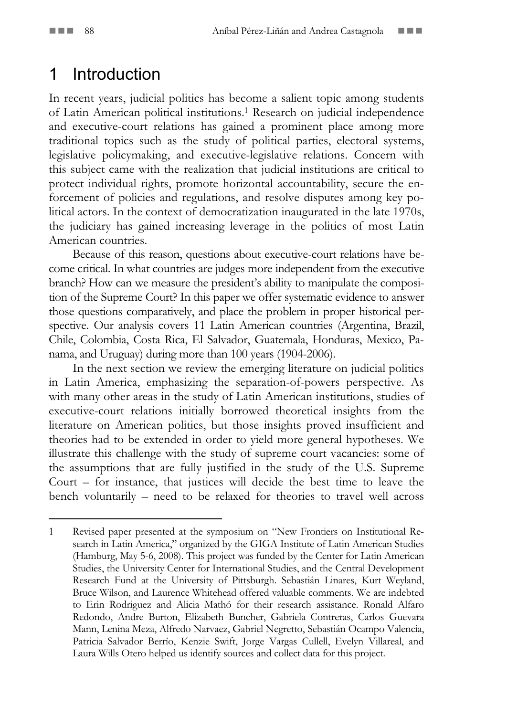## 1 Introduction

In recent years, judicial politics has become a salient topic among students of Latin American political institutions.1 Research on judicial independence and executive-court relations has gained a prominent place among more traditional topics such as the study of political parties, electoral systems, legislative policymaking, and executive-legislative relations. Concern with this subject came with the realization that judicial institutions are critical to protect individual rights, promote horizontal accountability, secure the enforcement of policies and regulations, and resolve disputes among key political actors. In the context of democratization inaugurated in the late 1970s, the judiciary has gained increasing leverage in the politics of most Latin American countries.

Because of this reason, questions about executive-court relations have become critical. In what countries are judges more independent from the executive branch? How can we measure the president's ability to manipulate the composition of the Supreme Court? In this paper we offer systematic evidence to answer those questions comparatively, and place the problem in proper historical perspective. Our analysis covers 11 Latin American countries (Argentina, Brazil, Chile, Colombia, Costa Rica, El Salvador, Guatemala, Honduras, Mexico, Panama, and Uruguay) during more than 100 years (1904-2006).

In the next section we review the emerging literature on judicial politics in Latin America, emphasizing the separation-of-powers perspective. As with many other areas in the study of Latin American institutions, studies of executive-court relations initially borrowed theoretical insights from the literature on American politics, but those insights proved insufficient and theories had to be extended in order to yield more general hypotheses. We illustrate this challenge with the study of supreme court vacancies: some of the assumptions that are fully justified in the study of the U.S. Supreme Court – for instance, that justices will decide the best time to leave the bench voluntarily – need to be relaxed for theories to travel well across

<sup>1</sup> Revised paper presented at the symposium on "New Frontiers on Institutional Research in Latin America," organized by the GIGA Institute of Latin American Studies (Hamburg, May 5-6, 2008). This project was funded by the Center for Latin American Studies, the University Center for International Studies, and the Central Development Research Fund at the University of Pittsburgh. Sebastián Linares, Kurt Weyland, Bruce Wilson, and Laurence Whitehead offered valuable comments. We are indebted to Erin Rodriguez and Alicia Mathó for their research assistance. Ronald Alfaro Redondo, Andre Burton, Elizabeth Buncher, Gabriela Contreras, Carlos Guevara Mann, Lenina Meza, Alfredo Narvaez, Gabriel Negretto, Sebastián Ocampo Valencia, Patricia Salvador Berrío, Kenzie Swift, Jorge Vargas Cullell, Evelyn Villareal, and Laura Wills Otero helped us identify sources and collect data for this project.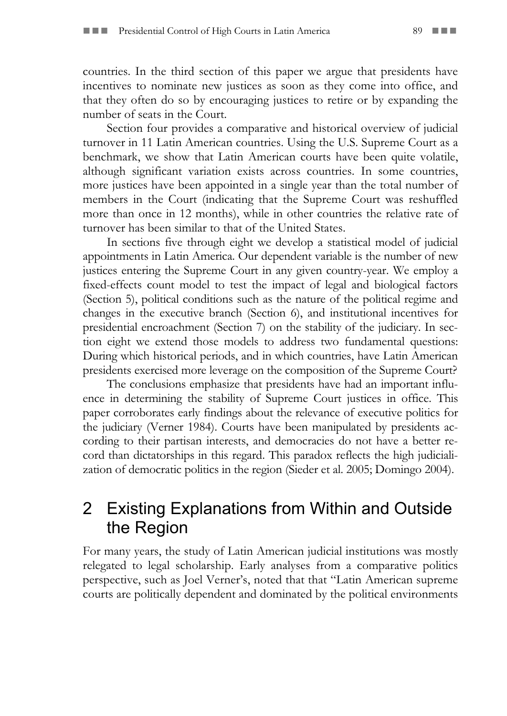countries. In the third section of this paper we argue that presidents have incentives to nominate new justices as soon as they come into office, and that they often do so by encouraging justices to retire or by expanding the number of seats in the Court.

Section four provides a comparative and historical overview of judicial turnover in 11 Latin American countries. Using the U.S. Supreme Court as a benchmark, we show that Latin American courts have been quite volatile, although significant variation exists across countries. In some countries, more justices have been appointed in a single year than the total number of members in the Court (indicating that the Supreme Court was reshuffled more than once in 12 months), while in other countries the relative rate of turnover has been similar to that of the United States.

In sections five through eight we develop a statistical model of judicial appointments in Latin America. Our dependent variable is the number of new justices entering the Supreme Court in any given country-year. We employ a fixed-effects count model to test the impact of legal and biological factors (Section 5), political conditions such as the nature of the political regime and changes in the executive branch (Section 6), and institutional incentives for presidential encroachment (Section 7) on the stability of the judiciary. In section eight we extend those models to address two fundamental questions: During which historical periods, and in which countries, have Latin American presidents exercised more leverage on the composition of the Supreme Court?

The conclusions emphasize that presidents have had an important influence in determining the stability of Supreme Court justices in office. This paper corroborates early findings about the relevance of executive politics for the judiciary (Verner 1984). Courts have been manipulated by presidents according to their partisan interests, and democracies do not have a better record than dictatorships in this regard. This paradox reflects the high judicialization of democratic politics in the region (Sieder et al. 2005; Domingo 2004).

## 2 Existing Explanations from Within and Outside the Region

For many years, the study of Latin American judicial institutions was mostly relegated to legal scholarship. Early analyses from a comparative politics perspective, such as Joel Verner's, noted that that "Latin American supreme courts are politically dependent and dominated by the political environments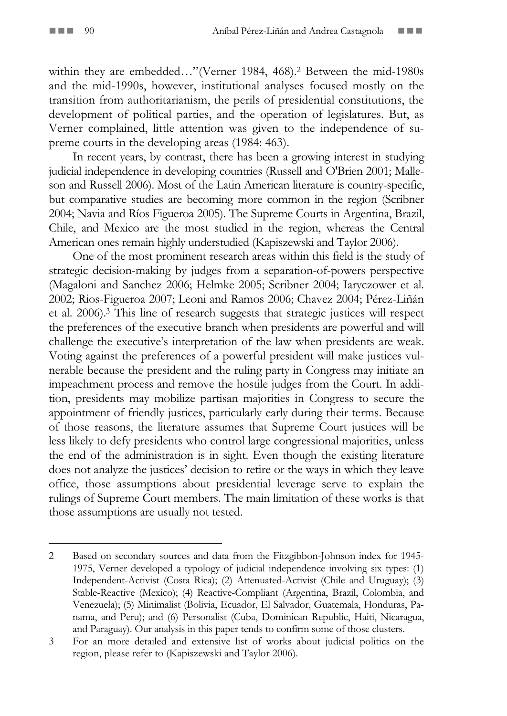within they are embedded…"(Verner 1984, 468).2 Between the mid-1980s and the mid-1990s, however, institutional analyses focused mostly on the transition from authoritarianism, the perils of presidential constitutions, the development of political parties, and the operation of legislatures. But, as Verner complained, little attention was given to the independence of supreme courts in the developing areas (1984: 463).

In recent years, by contrast, there has been a growing interest in studying judicial independence in developing countries (Russell and O'Brien 2001; Malleson and Russell 2006). Most of the Latin American literature is country-specific, but comparative studies are becoming more common in the region (Scribner 2004; Navia and Ríos Figueroa 2005). The Supreme Courts in Argentina, Brazil, Chile, and Mexico are the most studied in the region, whereas the Central American ones remain highly understudied (Kapiszewski and Taylor 2006).

One of the most prominent research areas within this field is the study of strategic decision-making by judges from a separation-of-powers perspective (Magaloni and Sanchez 2006; Helmke 2005; Scribner 2004; Iaryczower et al. 2002; Rios-Figueroa 2007; Leoni and Ramos 2006; Chavez 2004; Pérez-Liñán et al. 2006).3 This line of research suggests that strategic justices will respect the preferences of the executive branch when presidents are powerful and will challenge the executive's interpretation of the law when presidents are weak. Voting against the preferences of a powerful president will make justices vulnerable because the president and the ruling party in Congress may initiate an impeachment process and remove the hostile judges from the Court. In addition, presidents may mobilize partisan majorities in Congress to secure the appointment of friendly justices, particularly early during their terms. Because of those reasons, the literature assumes that Supreme Court justices will be less likely to defy presidents who control large congressional majorities, unless the end of the administration is in sight. Even though the existing literature does not analyze the justices' decision to retire or the ways in which they leave office, those assumptions about presidential leverage serve to explain the rulings of Supreme Court members. The main limitation of these works is that those assumptions are usually not tested.

<sup>2</sup> Based on secondary sources and data from the Fitzgibbon-Johnson index for 1945- 1975, Verner developed a typology of judicial independence involving six types: (1) Independent-Activist (Costa Rica); (2) Attenuated-Activist (Chile and Uruguay); (3) Stable-Reactive (Mexico); (4) Reactive-Compliant (Argentina, Brazil, Colombia, and Venezuela); (5) Minimalist (Bolivia, Ecuador, El Salvador, Guatemala, Honduras, Panama, and Peru); and (6) Personalist (Cuba, Dominican Republic, Haiti, Nicaragua, and Paraguay). Our analysis in this paper tends to confirm some of those clusters.

<sup>3</sup> For an more detailed and extensive list of works about judicial politics on the region, please refer to (Kapiszewski and Taylor 2006).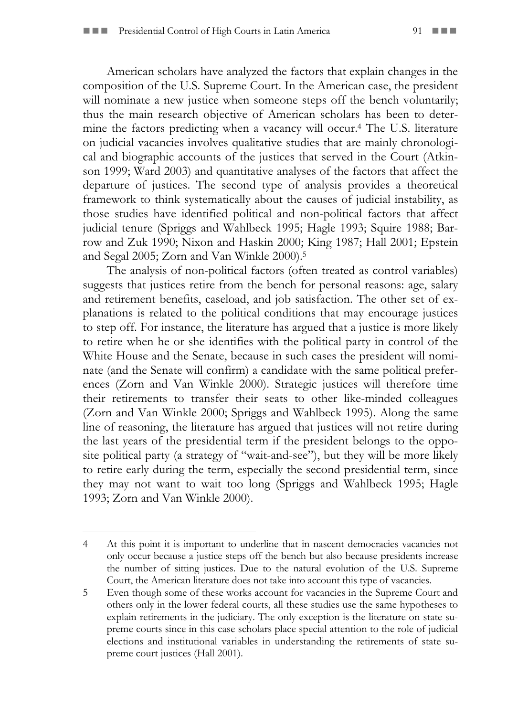American scholars have analyzed the factors that explain changes in the composition of the U.S. Supreme Court. In the American case, the president will nominate a new justice when someone steps off the bench voluntarily; thus the main research objective of American scholars has been to determine the factors predicting when a vacancy will occur.4 The U.S. literature on judicial vacancies involves qualitative studies that are mainly chronological and biographic accounts of the justices that served in the Court (Atkinson 1999; Ward 2003) and quantitative analyses of the factors that affect the departure of justices. The second type of analysis provides a theoretical framework to think systematically about the causes of judicial instability, as those studies have identified political and non-political factors that affect judicial tenure (Spriggs and Wahlbeck 1995; Hagle 1993; Squire 1988; Barrow and Zuk 1990; Nixon and Haskin 2000; King 1987; Hall 2001; Epstein and Segal 2005; Zorn and Van Winkle 2000).5

The analysis of non-political factors (often treated as control variables) suggests that justices retire from the bench for personal reasons: age, salary and retirement benefits, caseload, and job satisfaction. The other set of explanations is related to the political conditions that may encourage justices to step off. For instance, the literature has argued that a justice is more likely to retire when he or she identifies with the political party in control of the White House and the Senate, because in such cases the president will nominate (and the Senate will confirm) a candidate with the same political preferences (Zorn and Van Winkle 2000). Strategic justices will therefore time their retirements to transfer their seats to other like-minded colleagues (Zorn and Van Winkle 2000; Spriggs and Wahlbeck 1995). Along the same line of reasoning, the literature has argued that justices will not retire during the last years of the presidential term if the president belongs to the opposite political party (a strategy of "wait-and-see"), but they will be more likely to retire early during the term, especially the second presidential term, since they may not want to wait too long (Spriggs and Wahlbeck 1995; Hagle 1993; Zorn and Van Winkle 2000).

 $\overline{a}$ 

<sup>4</sup> At this point it is important to underline that in nascent democracies vacancies not only occur because a justice steps off the bench but also because presidents increase the number of sitting justices. Due to the natural evolution of the U.S. Supreme Court, the American literature does not take into account this type of vacancies.

<sup>5</sup> Even though some of these works account for vacancies in the Supreme Court and others only in the lower federal courts, all these studies use the same hypotheses to explain retirements in the judiciary. The only exception is the literature on state supreme courts since in this case scholars place special attention to the role of judicial elections and institutional variables in understanding the retirements of state supreme court justices (Hall 2001).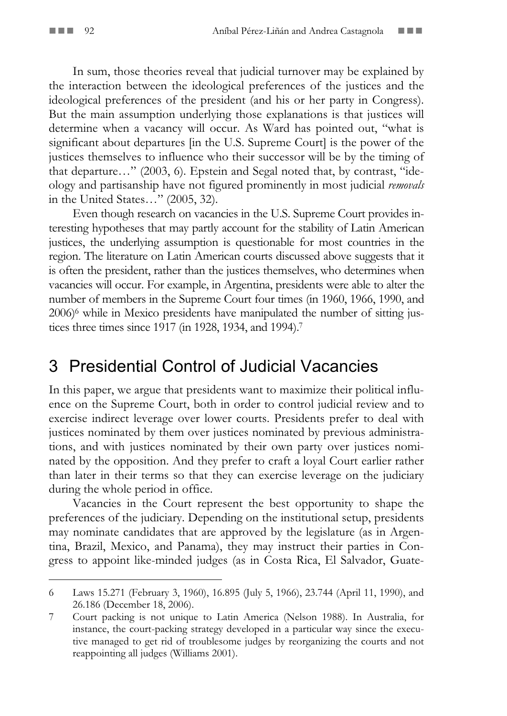In sum, those theories reveal that judicial turnover may be explained by the interaction between the ideological preferences of the justices and the ideological preferences of the president (and his or her party in Congress). But the main assumption underlying those explanations is that justices will determine when a vacancy will occur. As Ward has pointed out, "what is significant about departures [in the U.S. Supreme Court] is the power of the justices themselves to influence who their successor will be by the timing of that departure…" (2003, 6). Epstein and Segal noted that, by contrast, "ideology and partisanship have not figured prominently in most judicial *removals* in the United States…" (2005, 32).

Even though research on vacancies in the U.S. Supreme Court provides interesting hypotheses that may partly account for the stability of Latin American justices, the underlying assumption is questionable for most countries in the region. The literature on Latin American courts discussed above suggests that it is often the president, rather than the justices themselves, who determines when vacancies will occur. For example, in Argentina, presidents were able to alter the number of members in the Supreme Court four times (in 1960, 1966, 1990, and 2006)6 while in Mexico presidents have manipulated the number of sitting justices three times since 1917 (in 1928, 1934, and 1994).7

## 3 Presidential Control of Judicial Vacancies

In this paper, we argue that presidents want to maximize their political influence on the Supreme Court, both in order to control judicial review and to exercise indirect leverage over lower courts. Presidents prefer to deal with justices nominated by them over justices nominated by previous administrations, and with justices nominated by their own party over justices nominated by the opposition. And they prefer to craft a loyal Court earlier rather than later in their terms so that they can exercise leverage on the judiciary during the whole period in office.

Vacancies in the Court represent the best opportunity to shape the preferences of the judiciary. Depending on the institutional setup, presidents may nominate candidates that are approved by the legislature (as in Argentina, Brazil, Mexico, and Panama), they may instruct their parties in Congress to appoint like-minded judges (as in Costa Rica, El Salvador, Guate-

<sup>6</sup> Laws 15.271 (February 3, 1960), 16.895 (July 5, 1966), 23.744 (April 11, 1990), and 26.186 (December 18, 2006).

<sup>7</sup> Court packing is not unique to Latin America (Nelson 1988). In Australia, for instance, the court-packing strategy developed in a particular way since the executive managed to get rid of troublesome judges by reorganizing the courts and not reappointing all judges (Williams 2001).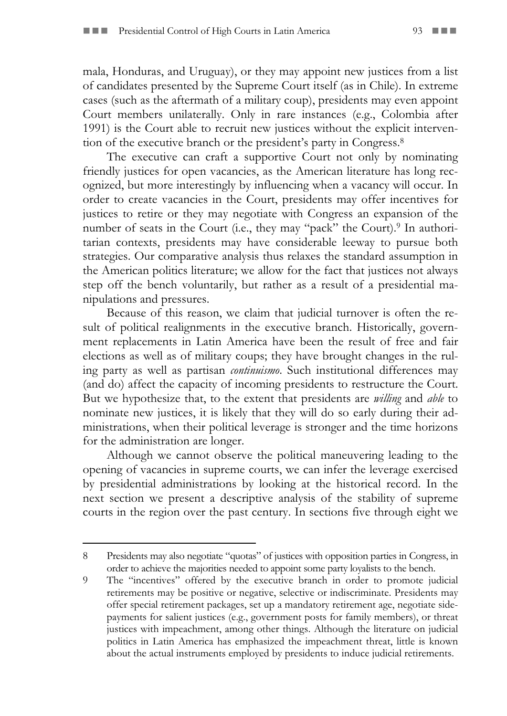mala, Honduras, and Uruguay), or they may appoint new justices from a list of candidates presented by the Supreme Court itself (as in Chile). In extreme cases (such as the aftermath of a military coup), presidents may even appoint Court members unilaterally. Only in rare instances (e.g., Colombia after 1991) is the Court able to recruit new justices without the explicit intervention of the executive branch or the president's party in Congress.8

The executive can craft a supportive Court not only by nominating friendly justices for open vacancies, as the American literature has long recognized, but more interestingly by influencing when a vacancy will occur. In order to create vacancies in the Court, presidents may offer incentives for justices to retire or they may negotiate with Congress an expansion of the number of seats in the Court (i.e., they may "pack" the Court).<sup>9</sup> In authoritarian contexts, presidents may have considerable leeway to pursue both strategies. Our comparative analysis thus relaxes the standard assumption in the American politics literature; we allow for the fact that justices not always step off the bench voluntarily, but rather as a result of a presidential manipulations and pressures.

Because of this reason, we claim that judicial turnover is often the result of political realignments in the executive branch. Historically, government replacements in Latin America have been the result of free and fair elections as well as of military coups; they have brought changes in the ruling party as well as partisan *continuismo*. Such institutional differences may (and do) affect the capacity of incoming presidents to restructure the Court. But we hypothesize that, to the extent that presidents are *willing* and *able* to nominate new justices, it is likely that they will do so early during their administrations, when their political leverage is stronger and the time horizons for the administration are longer.

Although we cannot observe the political maneuvering leading to the opening of vacancies in supreme courts, we can infer the leverage exercised by presidential administrations by looking at the historical record. In the next section we present a descriptive analysis of the stability of supreme courts in the region over the past century. In sections five through eight we

 $\overline{a}$ 

<sup>8</sup> Presidents may also negotiate "quotas" of justices with opposition parties in Congress, in order to achieve the majorities needed to appoint some party loyalists to the bench.

<sup>9</sup> The "incentives" offered by the executive branch in order to promote judicial retirements may be positive or negative, selective or indiscriminate. Presidents may offer special retirement packages, set up a mandatory retirement age, negotiate sidepayments for salient justices (e.g., government posts for family members), or threat justices with impeachment, among other things. Although the literature on judicial politics in Latin America has emphasized the impeachment threat, little is known about the actual instruments employed by presidents to induce judicial retirements.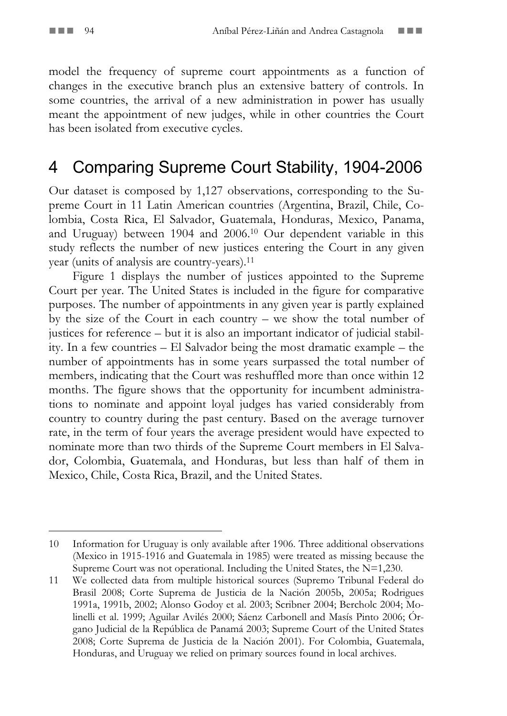model the frequency of supreme court appointments as a function of changes in the executive branch plus an extensive battery of controls. In some countries, the arrival of a new administration in power has usually meant the appointment of new judges, while in other countries the Court has been isolated from executive cycles.

## 4 Comparing Supreme Court Stability, 1904-2006

Our dataset is composed by 1,127 observations, corresponding to the Supreme Court in 11 Latin American countries (Argentina, Brazil, Chile, Colombia, Costa Rica, El Salvador, Guatemala, Honduras, Mexico, Panama, and Uruguay) between 1904 and 2006.10 Our dependent variable in this study reflects the number of new justices entering the Court in any given year (units of analysis are country-years).<sup>11</sup>

Figure 1 displays the number of justices appointed to the Supreme Court per year. The United States is included in the figure for comparative purposes. The number of appointments in any given year is partly explained by the size of the Court in each country – we show the total number of justices for reference – but it is also an important indicator of judicial stability. In a few countries – El Salvador being the most dramatic example – the number of appointments has in some years surpassed the total number of members, indicating that the Court was reshuffled more than once within 12 months. The figure shows that the opportunity for incumbent administrations to nominate and appoint loyal judges has varied considerably from country to country during the past century. Based on the average turnover rate, in the term of four years the average president would have expected to nominate more than two thirds of the Supreme Court members in El Salvador, Colombia, Guatemala, and Honduras, but less than half of them in Mexico, Chile, Costa Rica, Brazil, and the United States.

<sup>10</sup> Information for Uruguay is only available after 1906. Three additional observations (Mexico in 1915-1916 and Guatemala in 1985) were treated as missing because the Supreme Court was not operational. Including the United States, the N=1,230.

<sup>11</sup> We collected data from multiple historical sources (Supremo Tribunal Federal do Brasil 2008; Corte Suprema de Justicia de la Nación 2005b, 2005a; Rodrigues 1991a, 1991b, 2002; Alonso Godoy et al. 2003; Scribner 2004; Bercholc 2004; Molinelli et al. 1999; Aguilar Avilés 2000; Sáenz Carbonell and Masís Pinto 2006; Órgano Judicial de la República de Panamá 2003; Supreme Court of the United States 2008; Corte Suprema de Justicia de la Nación 2001). For Colombia, Guatemala, Honduras, and Uruguay we relied on primary sources found in local archives.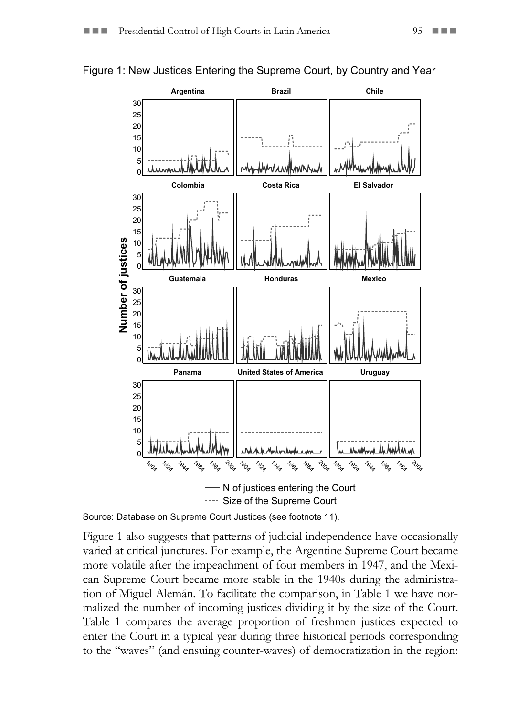

Figure 1: New Justices Entering the Supreme Court, by Country and Year

Source: Database on Supreme Court Justices (see footnote 11).

Figure 1 also suggests that patterns of judicial independence have occasionally varied at critical junctures. For example, the Argentine Supreme Court became more volatile after the impeachment of four members in 1947, and the Mexican Supreme Court became more stable in the 1940s during the administration of Miguel Alemán. To facilitate the comparison, in Table 1 we have normalized the number of incoming justices dividing it by the size of the Court. Table 1 compares the average proportion of freshmen justices expected to enter the Court in a typical year during three historical periods corresponding to the "waves" (and ensuing counter-waves) of democratization in the region: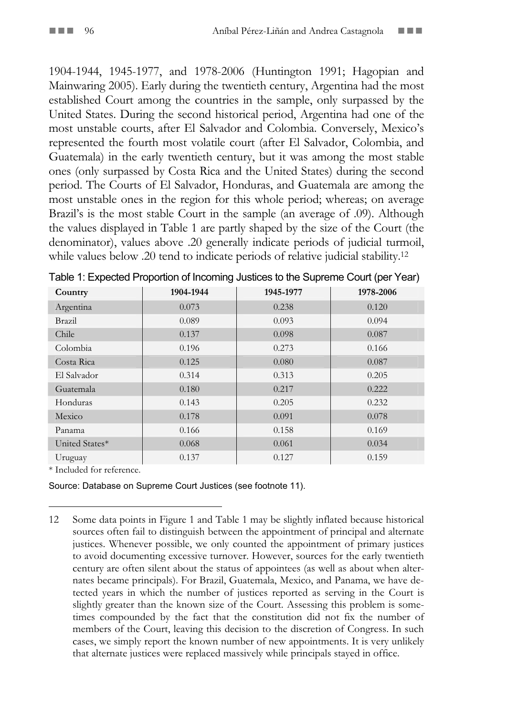1904-1944, 1945-1977, and 1978-2006 (Huntington 1991; Hagopian and Mainwaring 2005). Early during the twentieth century, Argentina had the most established Court among the countries in the sample, only surpassed by the United States. During the second historical period, Argentina had one of the most unstable courts, after El Salvador and Colombia. Conversely, Mexico's represented the fourth most volatile court (after El Salvador, Colombia, and Guatemala) in the early twentieth century, but it was among the most stable ones (only surpassed by Costa Rica and the United States) during the second period. The Courts of El Salvador, Honduras, and Guatemala are among the most unstable ones in the region for this whole period; whereas; on average Brazil's is the most stable Court in the sample (an average of .09). Although the values displayed in Table 1 are partly shaped by the size of the Court (the denominator), values above .20 generally indicate periods of judicial turmoil, while values below .20 tend to indicate periods of relative judicial stability.<sup>12</sup>

| Country        | 1904-1944 | 1945-1977 | 1978-2006 |
|----------------|-----------|-----------|-----------|
| Argentina      | 0.073     | 0.238     | 0.120     |
| Brazil         | 0.089     | 0.093     | 0.094     |
| Chile          | 0.137     | 0.098     | 0.087     |
| Colombia       | 0.196     | 0.273     | 0.166     |
| Costa Rica     | 0.125     | 0.080     | 0.087     |
| El Salvador    | 0.314     | 0.313     | 0.205     |
| Guatemala      | 0.180     | 0.217     | 0.222     |
| Honduras       | 0.143     | 0.205     | 0.232     |
| Mexico         | 0.178     | 0.091     | 0.078     |
| Panama         | 0.166     | 0.158     | 0.169     |
| United States* | 0.068     | 0.061     | 0.034     |
| Uruguay        | 0.137     | 0.127     | 0.159     |

Table 1: Expected Proportion of Incoming Justices to the Supreme Court (per Year)

\* Included for reference.

 $\overline{a}$ 

Source: Database on Supreme Court Justices (see footnote 11).

<sup>12</sup> Some data points in Figure 1 and Table 1 may be slightly inflated because historical sources often fail to distinguish between the appointment of principal and alternate justices. Whenever possible, we only counted the appointment of primary justices to avoid documenting excessive turnover. However, sources for the early twentieth century are often silent about the status of appointees (as well as about when alternates became principals). For Brazil, Guatemala, Mexico, and Panama, we have detected years in which the number of justices reported as serving in the Court is slightly greater than the known size of the Court. Assessing this problem is sometimes compounded by the fact that the constitution did not fix the number of members of the Court, leaving this decision to the discretion of Congress. In such cases, we simply report the known number of new appointments. It is very unlikely that alternate justices were replaced massively while principals stayed in office.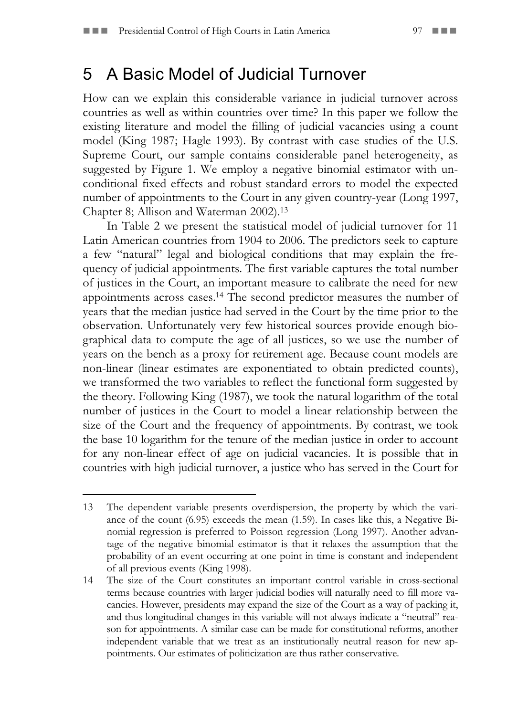### 5 A Basic Model of Judicial Turnover

How can we explain this considerable variance in judicial turnover across countries as well as within countries over time? In this paper we follow the existing literature and model the filling of judicial vacancies using a count model (King 1987; Hagle 1993). By contrast with case studies of the U.S. Supreme Court, our sample contains considerable panel heterogeneity, as suggested by Figure 1. We employ a negative binomial estimator with unconditional fixed effects and robust standard errors to model the expected number of appointments to the Court in any given country-year (Long 1997, Chapter 8; Allison and Waterman 2002).13

In Table 2 we present the statistical model of judicial turnover for 11 Latin American countries from 1904 to 2006. The predictors seek to capture a few "natural" legal and biological conditions that may explain the frequency of judicial appointments. The first variable captures the total number of justices in the Court, an important measure to calibrate the need for new appointments across cases.14 The second predictor measures the number of years that the median justice had served in the Court by the time prior to the observation. Unfortunately very few historical sources provide enough biographical data to compute the age of all justices, so we use the number of years on the bench as a proxy for retirement age. Because count models are non-linear (linear estimates are exponentiated to obtain predicted counts), we transformed the two variables to reflect the functional form suggested by the theory. Following King (1987), we took the natural logarithm of the total number of justices in the Court to model a linear relationship between the size of the Court and the frequency of appointments. By contrast, we took the base 10 logarithm for the tenure of the median justice in order to account for any non-linear effect of age on judicial vacancies. It is possible that in countries with high judicial turnover, a justice who has served in the Court for

 $\overline{a}$ 

<sup>13</sup> The dependent variable presents overdispersion, the property by which the variance of the count (6.95) exceeds the mean (1.59). In cases like this, a Negative Binomial regression is preferred to Poisson regression (Long 1997). Another advantage of the negative binomial estimator is that it relaxes the assumption that the probability of an event occurring at one point in time is constant and independent of all previous events (King 1998).

<sup>14</sup> The size of the Court constitutes an important control variable in cross-sectional terms because countries with larger judicial bodies will naturally need to fill more vacancies. However, presidents may expand the size of the Court as a way of packing it, and thus longitudinal changes in this variable will not always indicate a "neutral" reason for appointments. A similar case can be made for constitutional reforms, another independent variable that we treat as an institutionally neutral reason for new appointments. Our estimates of politicization are thus rather conservative.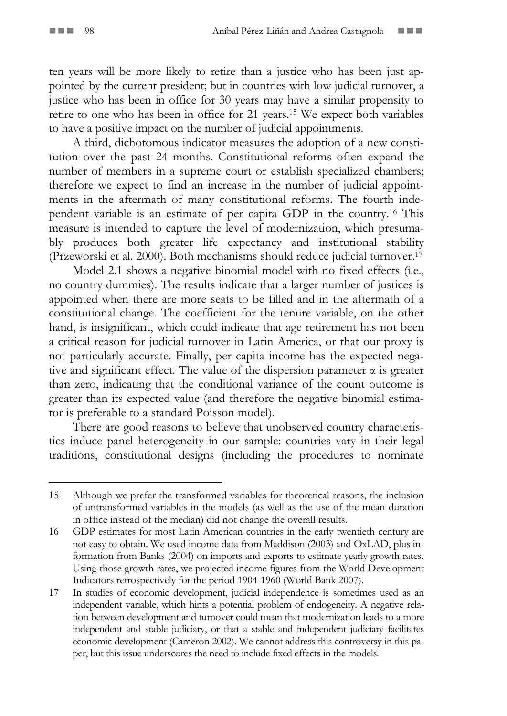ten years will be more likely to retire than a justice who has been just appointed by the current president; but in countries with low judicial turnover, a justice who has been in office for 30 years may have a similar propensity to retire to one who has been in office for 21 years.15 We expect both variables to have a positive impact on the number of judicial appointments.

A third, dichotomous indicator measures the adoption of a new constitution over the past 24 months. Constitutional reforms often expand the number of members in a supreme court or establish specialized chambers; therefore we expect to find an increase in the number of judicial appointments in the aftermath of many constitutional reforms. The fourth independent variable is an estimate of per capita GDP in the country.16 This measure is intended to capture the level of modernization, which presumably produces both greater life expectancy and institutional stability (Przeworski et al. 2000). Both mechanisms should reduce judicial turnover.17

Model 2.1 shows a negative binomial model with no fixed effects (i.e., no country dummies). The results indicate that a larger number of justices is appointed when there are more seats to be filled and in the aftermath of a constitutional change. The coefficient for the tenure variable, on the other hand, is insignificant, which could indicate that age retirement has not been a critical reason for judicial turnover in Latin America, or that our proxy is not particularly accurate. Finally, per capita income has the expected negative and significant effect. The value of the dispersion parameter  $\alpha$  is greater than zero, indicating that the conditional variance of the count outcome is greater than its expected value (and therefore the negative binomial estimator is preferable to a standard Poisson model).

There are good reasons to believe that unobserved country characteristics induce panel heterogeneity in our sample: countries vary in their legal traditions, constitutional designs (including the procedures to nominate

<sup>15</sup> Although we prefer the transformed variables for theoretical reasons, the inclusion of untransformed variables in the models (as well as the use of the mean duration in office instead of the median) did not change the overall results.

<sup>16</sup> GDP estimates for most Latin American countries in the early twentieth century are not easy to obtain. We used income data from Maddison (2003) and OxLAD, plus information from Banks (2004) on imports and exports to estimate yearly growth rates. Using those growth rates, we projected income figures from the World Development Indicators retrospectively for the period 1904-1960 (World Bank 2007).

<sup>17</sup> In studies of economic development, judicial independence is sometimes used as an independent variable, which hints a potential problem of endogeneity. A negative relation between development and turnover could mean that modernization leads to a more independent and stable judiciary, or that a stable and independent judiciary facilitates economic development (Cameron 2002). We cannot address this controversy in this paper, but this issue underscores the need to include fixed effects in the models.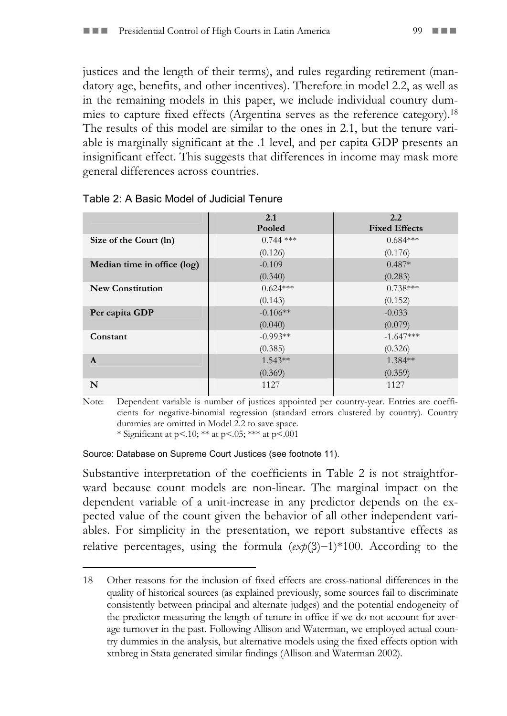justices and the length of their terms), and rules regarding retirement (mandatory age, benefits, and other incentives). Therefore in model 2.2, as well as in the remaining models in this paper, we include individual country dummies to capture fixed effects (Argentina serves as the reference category).18 The results of this model are similar to the ones in 2.1, but the tenure variable is marginally significant at the .1 level, and per capita GDP presents an insignificant effect. This suggests that differences in income may mask more general differences across countries.

|                             | 2.1         | 2.2                  |
|-----------------------------|-------------|----------------------|
|                             | Pooled      | <b>Fixed Effects</b> |
| Size of the Court (ln)      | $0.744$ *** | $0.684***$           |
|                             | (0.126)     | (0.176)              |
| Median time in office (log) | $-0.109$    | $0.487*$             |
|                             | (0.340)     | (0.283)              |
| <b>New Constitution</b>     | $0.624***$  | $0.738***$           |
|                             | (0.143)     | (0.152)              |
| Per capita GDP              | $-0.106**$  | $-0.033$             |
|                             | (0.040)     | (0.079)              |
| Constant                    | $-0.993**$  | $-1.647***$          |
|                             | (0.385)     | (0.326)              |
| $\mathbf{A}$                | $1.543**$   | $1.384**$            |
|                             | (0.369)     | (0.359)              |
| N                           | 1127        | 1127                 |

| Table 2: A Basic Model of Judicial Tenure |
|-------------------------------------------|
|-------------------------------------------|

Note: Dependent variable is number of justices appointed per country-year. Entries are coefficients for negative-binomial regression (standard errors clustered by country). Country dummies are omitted in Model 2.2 to save space. \* Significant at p<.10; \*\* at p<.05; \*\*\* at p<.001

#### Source: Database on Supreme Court Justices (see footnote 11).

 $\overline{a}$ 

Substantive interpretation of the coefficients in Table 2 is not straightforward because count models are non-linear. The marginal impact on the dependent variable of a unit-increase in any predictor depends on the expected value of the count given the behavior of all other independent variables. For simplicity in the presentation, we report substantive effects as relative percentages, using the formula  $(exp(\beta)-1)*100$ . According to the

<sup>18</sup> Other reasons for the inclusion of fixed effects are cross-national differences in the quality of historical sources (as explained previously, some sources fail to discriminate consistently between principal and alternate judges) and the potential endogeneity of the predictor measuring the length of tenure in office if we do not account for average turnover in the past. Following Allison and Waterman, we employed actual country dummies in the analysis, but alternative models using the fixed effects option with xtnbreg in Stata generated similar findings (Allison and Waterman 2002).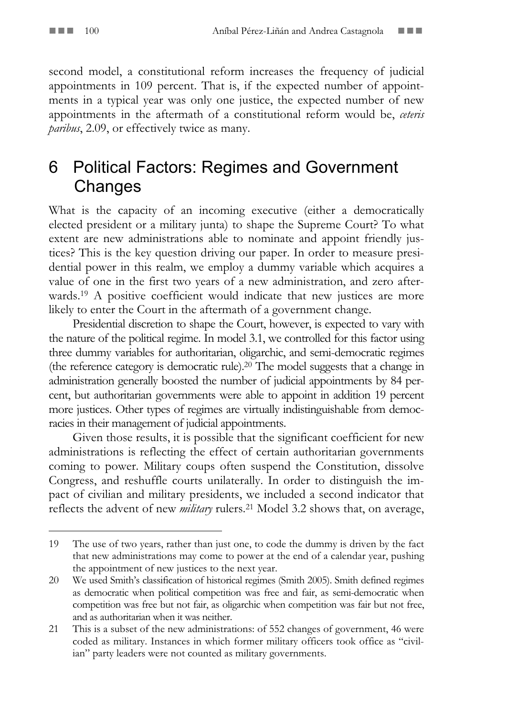second model, a constitutional reform increases the frequency of judicial appointments in 109 percent. That is, if the expected number of appointments in a typical year was only one justice, the expected number of new appointments in the aftermath of a constitutional reform would be, *ceteris paribus*, 2.09, or effectively twice as many.

## 6 Political Factors: Regimes and Government **Changes**

What is the capacity of an incoming executive (either a democratically elected president or a military junta) to shape the Supreme Court? To what extent are new administrations able to nominate and appoint friendly justices? This is the key question driving our paper. In order to measure presidential power in this realm, we employ a dummy variable which acquires a value of one in the first two years of a new administration, and zero afterwards.<sup>19</sup> A positive coefficient would indicate that new justices are more likely to enter the Court in the aftermath of a government change.

Presidential discretion to shape the Court, however, is expected to vary with the nature of the political regime. In model 3.1, we controlled for this factor using three dummy variables for authoritarian, oligarchic, and semi-democratic regimes (the reference category is democratic rule).20 The model suggests that a change in administration generally boosted the number of judicial appointments by 84 percent, but authoritarian governments were able to appoint in addition 19 percent more justices. Other types of regimes are virtually indistinguishable from democracies in their management of judicial appointments.

Given those results, it is possible that the significant coefficient for new administrations is reflecting the effect of certain authoritarian governments coming to power. Military coups often suspend the Constitution, dissolve Congress, and reshuffle courts unilaterally. In order to distinguish the impact of civilian and military presidents, we included a second indicator that reflects the advent of new *military* rulers.21 Model 3.2 shows that, on average,

<sup>19</sup> The use of two years, rather than just one, to code the dummy is driven by the fact that new administrations may come to power at the end of a calendar year, pushing the appointment of new justices to the next year.

<sup>20</sup> We used Smith's classification of historical regimes (Smith 2005). Smith defined regimes as democratic when political competition was free and fair, as semi-democratic when competition was free but not fair, as oligarchic when competition was fair but not free, and as authoritarian when it was neither.

<sup>21</sup> This is a subset of the new administrations: of 552 changes of government, 46 were coded as military. Instances in which former military officers took office as "civilian" party leaders were not counted as military governments.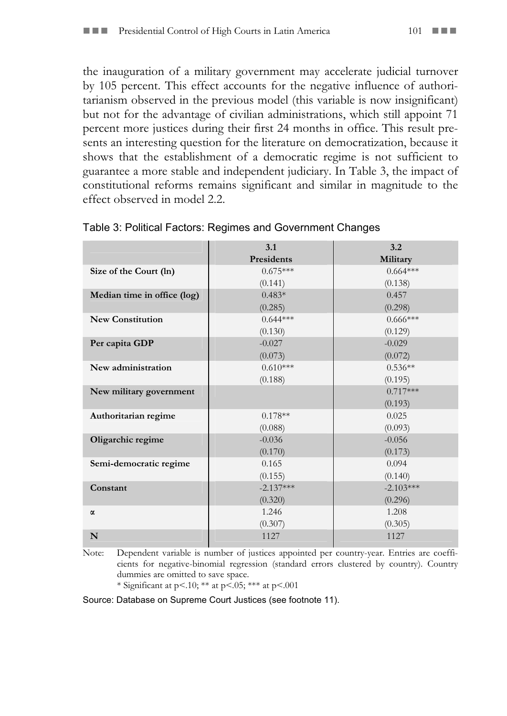the inauguration of a military government may accelerate judicial turnover by 105 percent. This effect accounts for the negative influence of authoritarianism observed in the previous model (this variable is now insignificant) but not for the advantage of civilian administrations, which still appoint 71 percent more justices during their first 24 months in office. This result presents an interesting question for the literature on democratization, because it shows that the establishment of a democratic regime is not sufficient to guarantee a more stable and independent judiciary. In Table 3, the impact of constitutional reforms remains significant and similar in magnitude to the effect observed in model 2.2.

|                             | 3.1         | 3.2         |
|-----------------------------|-------------|-------------|
|                             | Presidents  | Military    |
| Size of the Court (ln)      | $0.675***$  | $0.664***$  |
|                             | (0.141)     | (0.138)     |
| Median time in office (log) | $0.483*$    | 0.457       |
|                             | (0.285)     | (0.298)     |
| <b>New Constitution</b>     | $0.644***$  | $0.666***$  |
|                             | (0.130)     | (0.129)     |
| Per capita GDP              | $-0.027$    | $-0.029$    |
|                             | (0.073)     | (0.072)     |
| New administration          | $0.610***$  | $0.536**$   |
|                             | (0.188)     | (0.195)     |
| New military government     |             | $0.717***$  |
|                             |             | (0.193)     |
| Authoritarian regime        | $0.178**$   | 0.025       |
|                             | (0.088)     | (0.093)     |
| Oligarchic regime           | $-0.036$    | $-0.056$    |
|                             | (0.170)     | (0.173)     |
| Semi-democratic regime      | 0.165       | 0.094       |
|                             | (0.155)     | (0.140)     |
| Constant                    | $-2.137***$ | $-2.103***$ |
|                             | (0.320)     | (0.296)     |
| α                           | 1.246       | 1.208       |
|                             | (0.307)     | (0.305)     |
| N                           | 1127        | 1127        |

Table 3: Political Factors: Regimes and Government Changes

Note: Dependent variable is number of justices appointed per country-year. Entries are coefficients for negative-binomial regression (standard errors clustered by country). Country dummies are omitted to save space. \* Significant at p<.10; \*\* at p<.05; \*\*\* at p<.001

Source: Database on Supreme Court Justices (see footnote 11).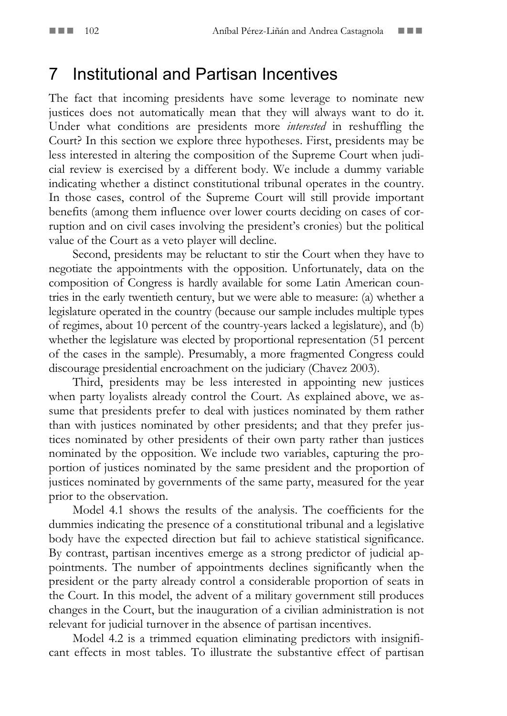### 7 Institutional and Partisan Incentives

The fact that incoming presidents have some leverage to nominate new justices does not automatically mean that they will always want to do it. Under what conditions are presidents more *interested* in reshuffling the Court? In this section we explore three hypotheses. First, presidents may be less interested in altering the composition of the Supreme Court when judicial review is exercised by a different body. We include a dummy variable indicating whether a distinct constitutional tribunal operates in the country. In those cases, control of the Supreme Court will still provide important benefits (among them influence over lower courts deciding on cases of corruption and on civil cases involving the president's cronies) but the political value of the Court as a veto player will decline.

Second, presidents may be reluctant to stir the Court when they have to negotiate the appointments with the opposition. Unfortunately, data on the composition of Congress is hardly available for some Latin American countries in the early twentieth century, but we were able to measure: (a) whether a legislature operated in the country (because our sample includes multiple types of regimes, about 10 percent of the country-years lacked a legislature), and (b) whether the legislature was elected by proportional representation (51 percent of the cases in the sample). Presumably, a more fragmented Congress could discourage presidential encroachment on the judiciary (Chavez 2003).

Third, presidents may be less interested in appointing new justices when party loyalists already control the Court. As explained above, we assume that presidents prefer to deal with justices nominated by them rather than with justices nominated by other presidents; and that they prefer justices nominated by other presidents of their own party rather than justices nominated by the opposition. We include two variables, capturing the proportion of justices nominated by the same president and the proportion of justices nominated by governments of the same party, measured for the year prior to the observation.

Model 4.1 shows the results of the analysis. The coefficients for the dummies indicating the presence of a constitutional tribunal and a legislative body have the expected direction but fail to achieve statistical significance. By contrast, partisan incentives emerge as a strong predictor of judicial appointments. The number of appointments declines significantly when the president or the party already control a considerable proportion of seats in the Court. In this model, the advent of a military government still produces changes in the Court, but the inauguration of a civilian administration is not relevant for judicial turnover in the absence of partisan incentives.

Model 4.2 is a trimmed equation eliminating predictors with insignificant effects in most tables. To illustrate the substantive effect of partisan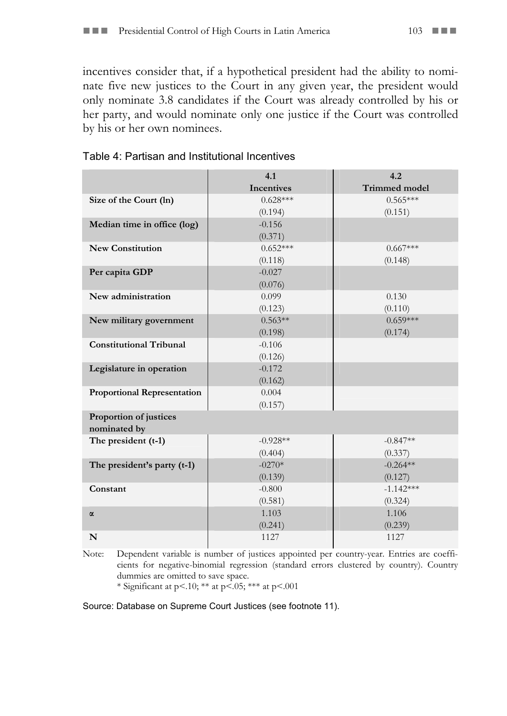incentives consider that, if a hypothetical president had the ability to nominate five new justices to the Court in any given year, the president would only nominate 3.8 candidates if the Court was already controlled by his or her party, and would nominate only one justice if the Court was controlled by his or her own nominees.

|                                        | 4.1<br><b>Incentives</b> | 4.2<br><b>Trimmed model</b> |
|----------------------------------------|--------------------------|-----------------------------|
| Size of the Court (ln)                 | $0.628***$<br>(0.194)    | $0.565***$<br>(0.151)       |
| Median time in office (log)            | $-0.156$<br>(0.371)      |                             |
| <b>New Constitution</b>                | $0.652***$<br>(0.118)    | $0.667***$<br>(0.148)       |
| Per capita GDP                         | $-0.027$<br>(0.076)      |                             |
| New administration                     | 0.099<br>(0.123)         | 0.130<br>(0.110)            |
| New military government                | $0.563**$<br>(0.198)     | $0.659***$<br>(0.174)       |
| <b>Constitutional Tribunal</b>         | $-0.106$<br>(0.126)      |                             |
| Legislature in operation               | $-0.172$<br>(0.162)      |                             |
| <b>Proportional Representation</b>     | 0.004<br>(0.157)         |                             |
| Proportion of justices<br>nominated by |                          |                             |
| The president (t-1)                    | $-0.928**$<br>(0.404)    | $-0.847**$<br>(0.337)       |
| The president's party (t-1)            | $-0270*$<br>(0.139)      | $-0.264**$<br>(0.127)       |
| Constant                               | $-0.800$<br>(0.581)      | $-1.142***$<br>(0.324)      |
| $\alpha$                               | 1.103<br>(0.241)         | 1.106<br>(0.239)            |
| N                                      | 1127                     | 1127                        |

#### Table 4: Partisan and Institutional Incentives

Note: Dependent variable is number of justices appointed per country-year. Entries are coefficients for negative-binomial regression (standard errors clustered by country). Country dummies are omitted to save space. \* Significant at p<.10; \*\* at p<.05; \*\*\* at p<.001

Source: Database on Supreme Court Justices (see footnote 11).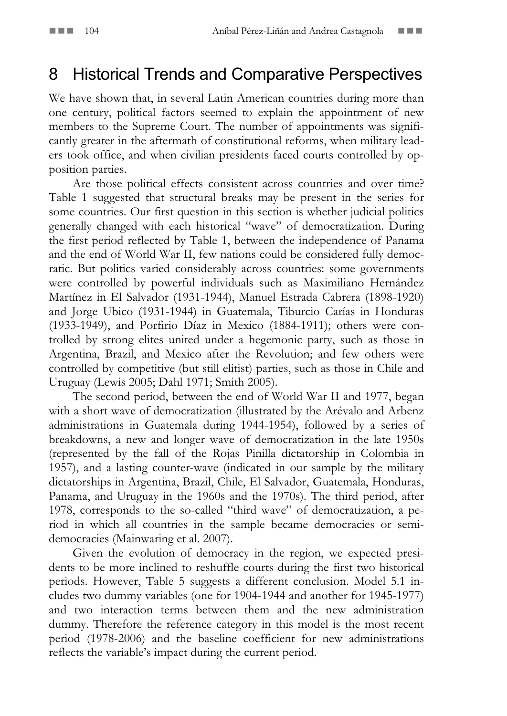### 8 Historical Trends and Comparative Perspectives

We have shown that, in several Latin American countries during more than one century, political factors seemed to explain the appointment of new members to the Supreme Court. The number of appointments was significantly greater in the aftermath of constitutional reforms, when military leaders took office, and when civilian presidents faced courts controlled by opposition parties.

Are those political effects consistent across countries and over time? Table 1 suggested that structural breaks may be present in the series for some countries. Our first question in this section is whether judicial politics generally changed with each historical "wave" of democratization. During the first period reflected by Table 1, between the independence of Panama and the end of World War II, few nations could be considered fully democratic. But politics varied considerably across countries: some governments were controlled by powerful individuals such as Maximiliano Hernández Martínez in El Salvador (1931-1944), Manuel Estrada Cabrera (1898-1920) and Jorge Ubico (1931-1944) in Guatemala, Tiburcio Carías in Honduras (1933-1949), and Porfirio Díaz in Mexico (1884-1911); others were controlled by strong elites united under a hegemonic party, such as those in Argentina, Brazil, and Mexico after the Revolution; and few others were controlled by competitive (but still elitist) parties, such as those in Chile and Uruguay (Lewis 2005; Dahl 1971; Smith 2005).

The second period, between the end of World War II and 1977, began with a short wave of democratization (illustrated by the Arévalo and Arbenz administrations in Guatemala during 1944-1954), followed by a series of breakdowns, a new and longer wave of democratization in the late 1950s (represented by the fall of the Rojas Pinilla dictatorship in Colombia in 1957), and a lasting counter-wave (indicated in our sample by the military dictatorships in Argentina, Brazil, Chile, El Salvador, Guatemala, Honduras, Panama, and Uruguay in the 1960s and the 1970s). The third period, after 1978, corresponds to the so-called "third wave" of democratization, a period in which all countries in the sample became democracies or semidemocracies (Mainwaring et al. 2007).

Given the evolution of democracy in the region, we expected presidents to be more inclined to reshuffle courts during the first two historical periods. However, Table 5 suggests a different conclusion. Model 5.1 includes two dummy variables (one for 1904-1944 and another for 1945-1977) and two interaction terms between them and the new administration dummy. Therefore the reference category in this model is the most recent period (1978-2006) and the baseline coefficient for new administrations reflects the variable's impact during the current period.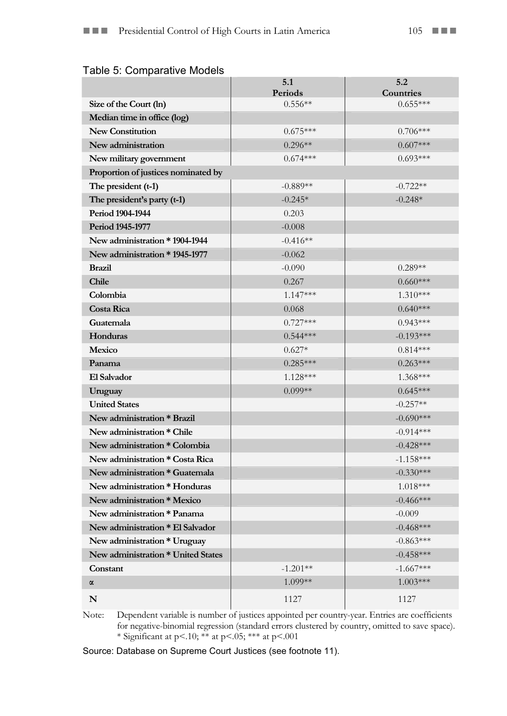#### Table 5: Comparative Models

|                                     | 5.1<br>Periods | 5.2<br>Countries |
|-------------------------------------|----------------|------------------|
| Size of the Court (ln)              | $0.556**$      | $0.655***$       |
| Median time in office (log)         |                |                  |
| <b>New Constitution</b>             | $0.675***$     | $0.706***$       |
| New administration                  | $0.296**$      | $0.607***$       |
| New military government             | $0.674***$     | $0.693***$       |
| Proportion of justices nominated by |                |                  |
| The president (t-1)                 | $-0.889**$     | $-0.722**$       |
| The president's party (t-1)         | $-0.245*$      | $-0.248*$        |
| Period 1904-1944                    | 0.203          |                  |
| Period 1945-1977                    | $-0.008$       |                  |
| New administration * 1904-1944      | $-0.416**$     |                  |
| New administration *1945-1977       | $-0.062$       |                  |
| <b>Brazil</b>                       | $-0.090$       | $0.289**$        |
| <b>Chile</b>                        | 0.267          | $0.660***$       |
| Colombia                            | $1.147***$     | 1.310***         |
| Costa Rica                          | 0.068          | $0.640***$       |
| Guatemala                           | $0.727***$     | $0.943***$       |
| Honduras                            | $0.544***$     | $-0.193***$      |
| Mexico                              | $0.627*$       | $0.814***$       |
| Panama                              | $0.285***$     | $0.263***$       |
| El Salvador                         | 1.128***       | 1.368***         |
| Uruguay                             | $0.099**$      | $0.645***$       |
| <b>United States</b>                |                | $-0.257**$       |
| New administration * Brazil         |                | $-0.690***$      |
| New administration * Chile          |                | $-0.914***$      |
| New administration * Colombia       |                | $-0.428***$      |
| New administration * Costa Rica     |                | $-1.158***$      |
| New administration * Guatemala      |                | $-0.330***$      |
| New administration * Honduras       |                | 1.018***         |
| New administration * Mexico         |                | $-0.466***$      |
| New administration * Panama         |                | $-0.009$         |
| New administration * El Salvador    |                | $-0.468***$      |
| New administration * Uruguay        |                | $-0.863***$      |
| New administration * United States  |                | $-0.458***$      |
| Constant                            | $-1.201**$     | $-1.667***$      |
| $\alpha$                            | 1.099**        | 1.003***         |
| N                                   | 1127           | 1127             |

Note: Dependent variable is number of justices appointed per country-year. Entries are coefficients for negative-binomial regression (standard errors clustered by country, omitted to save space). \* Significant at p<.10; \*\* at p<.05; \*\*\* at p<.001

Source: Database on Supreme Court Justices (see footnote 11).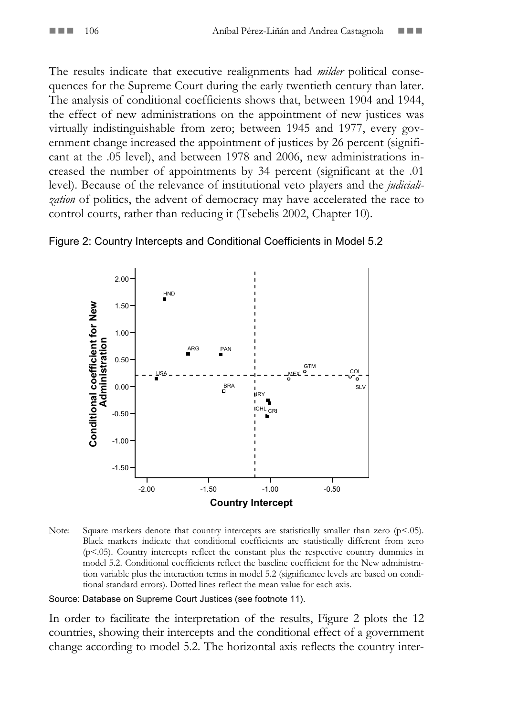The results indicate that executive realignments had *milder* political consequences for the Supreme Court during the early twentieth century than later. The analysis of conditional coefficients shows that, between 1904 and 1944, the effect of new administrations on the appointment of new justices was virtually indistinguishable from zero; between 1945 and 1977, every government change increased the appointment of justices by 26 percent (significant at the .05 level), and between 1978 and 2006, new administrations increased the number of appointments by 34 percent (significant at the .01 level). Because of the relevance of institutional veto players and the *judicialization* of politics, the advent of democracy may have accelerated the race to control courts, rather than reducing it (Tsebelis 2002, Chapter 10).





Note: Square markers denote that country intercepts are statistically smaller than zero  $(p<.05)$ . Black markers indicate that conditional coefficients are statistically different from zero (p<.05). Country intercepts reflect the constant plus the respective country dummies in model 5.2. Conditional coefficients reflect the baseline coefficient for the New administration variable plus the interaction terms in model 5.2 (significance levels are based on conditional standard errors). Dotted lines reflect the mean value for each axis.

Source: Database on Supreme Court Justices (see footnote 11).

In order to facilitate the interpretation of the results, Figure 2 plots the 12 countries, showing their intercepts and the conditional effect of a government change according to model 5.2. The horizontal axis reflects the country inter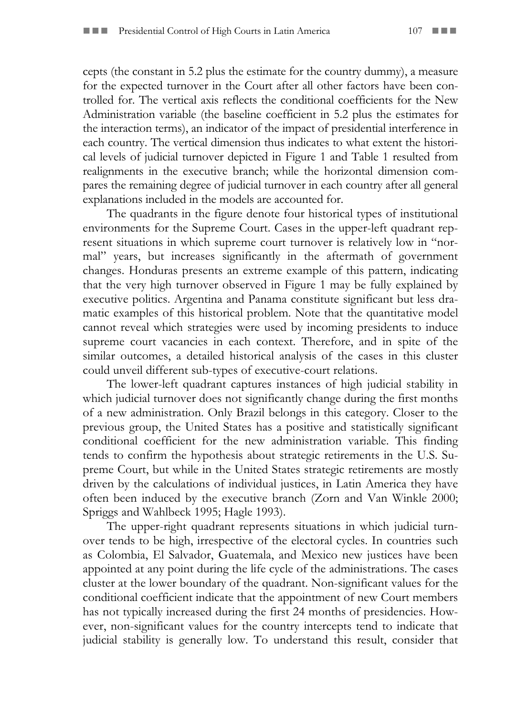cepts (the constant in 5.2 plus the estimate for the country dummy), a measure for the expected turnover in the Court after all other factors have been controlled for. The vertical axis reflects the conditional coefficients for the New Administration variable (the baseline coefficient in 5.2 plus the estimates for the interaction terms), an indicator of the impact of presidential interference in each country. The vertical dimension thus indicates to what extent the historical levels of judicial turnover depicted in Figure 1 and Table 1 resulted from realignments in the executive branch; while the horizontal dimension compares the remaining degree of judicial turnover in each country after all general explanations included in the models are accounted for.

The quadrants in the figure denote four historical types of institutional environments for the Supreme Court. Cases in the upper-left quadrant represent situations in which supreme court turnover is relatively low in "normal" years, but increases significantly in the aftermath of government changes. Honduras presents an extreme example of this pattern, indicating that the very high turnover observed in Figure 1 may be fully explained by executive politics. Argentina and Panama constitute significant but less dramatic examples of this historical problem. Note that the quantitative model cannot reveal which strategies were used by incoming presidents to induce supreme court vacancies in each context. Therefore, and in spite of the similar outcomes, a detailed historical analysis of the cases in this cluster could unveil different sub-types of executive-court relations.

The lower-left quadrant captures instances of high judicial stability in which judicial turnover does not significantly change during the first months of a new administration. Only Brazil belongs in this category. Closer to the previous group, the United States has a positive and statistically significant conditional coefficient for the new administration variable. This finding tends to confirm the hypothesis about strategic retirements in the U.S. Supreme Court, but while in the United States strategic retirements are mostly driven by the calculations of individual justices, in Latin America they have often been induced by the executive branch (Zorn and Van Winkle 2000; Spriggs and Wahlbeck 1995; Hagle 1993).

The upper-right quadrant represents situations in which judicial turnover tends to be high, irrespective of the electoral cycles. In countries such as Colombia, El Salvador, Guatemala, and Mexico new justices have been appointed at any point during the life cycle of the administrations. The cases cluster at the lower boundary of the quadrant. Non-significant values for the conditional coefficient indicate that the appointment of new Court members has not typically increased during the first 24 months of presidencies. However, non-significant values for the country intercepts tend to indicate that judicial stability is generally low. To understand this result, consider that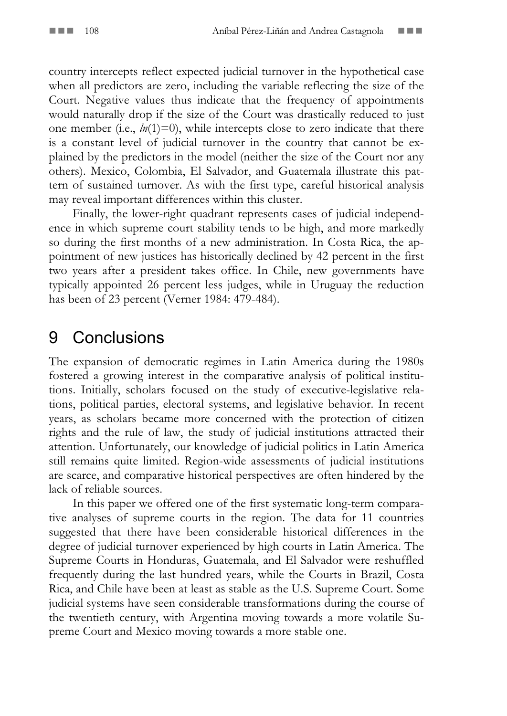country intercepts reflect expected judicial turnover in the hypothetical case when all predictors are zero, including the variable reflecting the size of the Court. Negative values thus indicate that the frequency of appointments would naturally drop if the size of the Court was drastically reduced to just one member (i.e.,  $ln(1)=0$ ), while intercepts close to zero indicate that there is a constant level of judicial turnover in the country that cannot be explained by the predictors in the model (neither the size of the Court nor any others). Mexico, Colombia, El Salvador, and Guatemala illustrate this pattern of sustained turnover. As with the first type, careful historical analysis may reveal important differences within this cluster.

Finally, the lower-right quadrant represents cases of judicial independence in which supreme court stability tends to be high, and more markedly so during the first months of a new administration. In Costa Rica, the appointment of new justices has historically declined by 42 percent in the first two years after a president takes office. In Chile, new governments have typically appointed 26 percent less judges, while in Uruguay the reduction has been of 23 percent (Verner 1984: 479-484).

### 9 Conclusions

The expansion of democratic regimes in Latin America during the 1980s fostered a growing interest in the comparative analysis of political institutions. Initially, scholars focused on the study of executive-legislative relations, political parties, electoral systems, and legislative behavior. In recent years, as scholars became more concerned with the protection of citizen rights and the rule of law, the study of judicial institutions attracted their attention. Unfortunately, our knowledge of judicial politics in Latin America still remains quite limited. Region-wide assessments of judicial institutions are scarce, and comparative historical perspectives are often hindered by the lack of reliable sources.

In this paper we offered one of the first systematic long-term comparative analyses of supreme courts in the region. The data for 11 countries suggested that there have been considerable historical differences in the degree of judicial turnover experienced by high courts in Latin America. The Supreme Courts in Honduras, Guatemala, and El Salvador were reshuffled frequently during the last hundred years, while the Courts in Brazil, Costa Rica, and Chile have been at least as stable as the U.S. Supreme Court. Some judicial systems have seen considerable transformations during the course of the twentieth century, with Argentina moving towards a more volatile Supreme Court and Mexico moving towards a more stable one.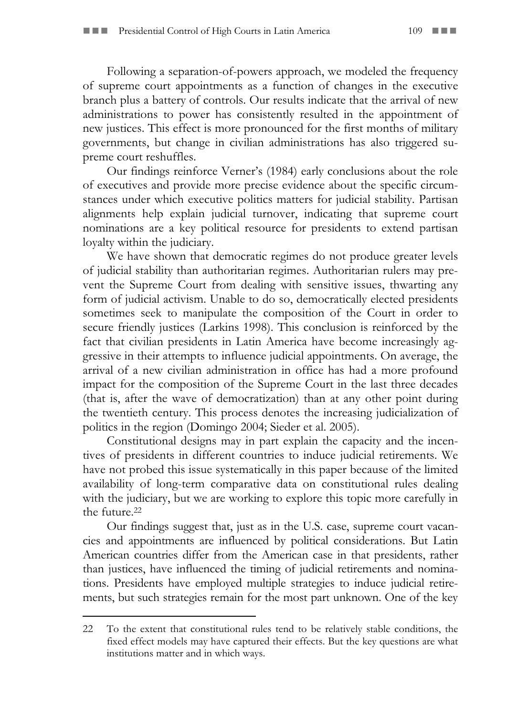Following a separation-of-powers approach, we modeled the frequency of supreme court appointments as a function of changes in the executive branch plus a battery of controls. Our results indicate that the arrival of new administrations to power has consistently resulted in the appointment of new justices. This effect is more pronounced for the first months of military governments, but change in civilian administrations has also triggered supreme court reshuffles.

Our findings reinforce Verner's (1984) early conclusions about the role of executives and provide more precise evidence about the specific circumstances under which executive politics matters for judicial stability. Partisan alignments help explain judicial turnover, indicating that supreme court nominations are a key political resource for presidents to extend partisan loyalty within the judiciary.

We have shown that democratic regimes do not produce greater levels of judicial stability than authoritarian regimes. Authoritarian rulers may prevent the Supreme Court from dealing with sensitive issues, thwarting any form of judicial activism. Unable to do so, democratically elected presidents sometimes seek to manipulate the composition of the Court in order to secure friendly justices (Larkins 1998). This conclusion is reinforced by the fact that civilian presidents in Latin America have become increasingly aggressive in their attempts to influence judicial appointments. On average, the arrival of a new civilian administration in office has had a more profound impact for the composition of the Supreme Court in the last three decades (that is, after the wave of democratization) than at any other point during the twentieth century. This process denotes the increasing judicialization of politics in the region (Domingo 2004; Sieder et al. 2005).

Constitutional designs may in part explain the capacity and the incentives of presidents in different countries to induce judicial retirements. We have not probed this issue systematically in this paper because of the limited availability of long-term comparative data on constitutional rules dealing with the judiciary, but we are working to explore this topic more carefully in the future.22

Our findings suggest that, just as in the U.S. case, supreme court vacancies and appointments are influenced by political considerations. But Latin American countries differ from the American case in that presidents, rather than justices, have influenced the timing of judicial retirements and nominations. Presidents have employed multiple strategies to induce judicial retirements, but such strategies remain for the most part unknown. One of the key

 $\overline{a}$ 

<sup>22</sup> To the extent that constitutional rules tend to be relatively stable conditions, the fixed effect models may have captured their effects. But the key questions are what institutions matter and in which ways.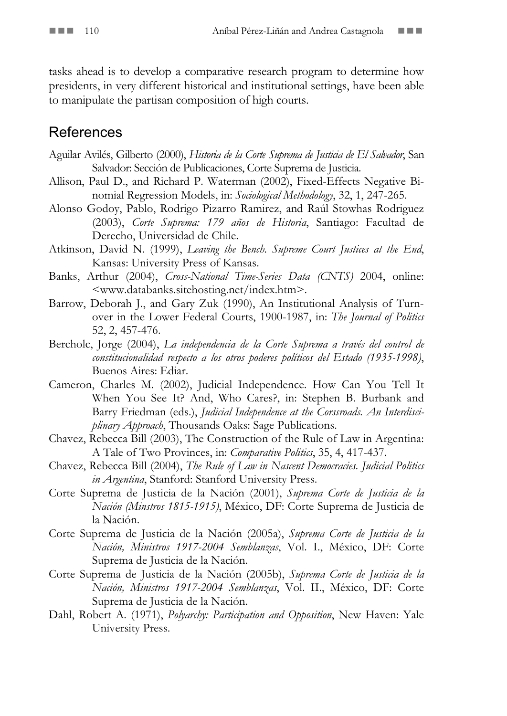tasks ahead is to develop a comparative research program to determine how presidents, in very different historical and institutional settings, have been able to manipulate the partisan composition of high courts.

#### References

- Aguilar Avilés, Gilberto (2000), *Historia de la Corte Suprema de Justicia de El Salvador*, San Salvador: Sección de Publicaciones, Corte Suprema de Justicia.
- Allison, Paul D., and Richard P. Waterman (2002), Fixed-Effects Negative Binomial Regression Models, in: *Sociological Methodology*, 32, 1, 247-265.
- Alonso Godoy, Pablo, Rodrigo Pizarro Ramirez, and Raúl Stowhas Rodriguez (2003), *Corte Suprema: 179 años de Historia*, Santiago: Facultad de Derecho, Universidad de Chile.
- Atkinson, David N. (1999), *Leaving the Bench. Supreme Court Justices at the End*, Kansas: University Press of Kansas.
- Banks, Arthur (2004), *Cross-National Time-Series Data (CNTS)* 2004, online: <www.databanks.sitehosting.net/index.htm>.
- Barrow, Deborah J., and Gary Zuk (1990), An Institutional Analysis of Turnover in the Lower Federal Courts, 1900-1987, in: *The Journal of Politics* 52, 2, 457-476.
- Bercholc, Jorge (2004), *La independencia de la Corte Suprema a través del control de constitucionalidad respecto a los otros poderes políticos del Estado (1935-1998)*, Buenos Aires: Ediar.
- Cameron, Charles M. (2002), Judicial Independence. How Can You Tell It When You See It? And, Who Cares?, in: Stephen B. Burbank and Barry Friedman (eds.), *Judicial Independence at the Corssroads. An Interdisciplinary Approach*, Thousands Oaks: Sage Publications.
- Chavez, Rebecca Bill (2003), The Construction of the Rule of Law in Argentina: A Tale of Two Provinces, in: *Comparative Politics*, 35, 4, 417-437.
- Chavez, Rebecca Bill (2004), *The Rule of Law in Nascent Democracies. Judicial Politics in Argentina*, Stanford: Stanford University Press.
- Corte Suprema de Justicia de la Nación (2001), *Suprema Corte de Justicia de la Nación (Minstros 1815-1915)*, México, DF: Corte Suprema de Justicia de la Nación.
- Corte Suprema de Justicia de la Nación (2005a), *Suprema Corte de Justicia de la Nación, Ministros 1917-2004 Semblanzas*, Vol. I., México, DF: Corte Suprema de Justicia de la Nación.
- Corte Suprema de Justicia de la Nación (2005b), *Suprema Corte de Justicia de la Nación, Ministros 1917-2004 Semblanzas*, Vol. II., México, DF: Corte Suprema de Justicia de la Nación.
- Dahl, Robert A. (1971), *Polyarchy: Participation and Opposition*, New Haven: Yale University Press.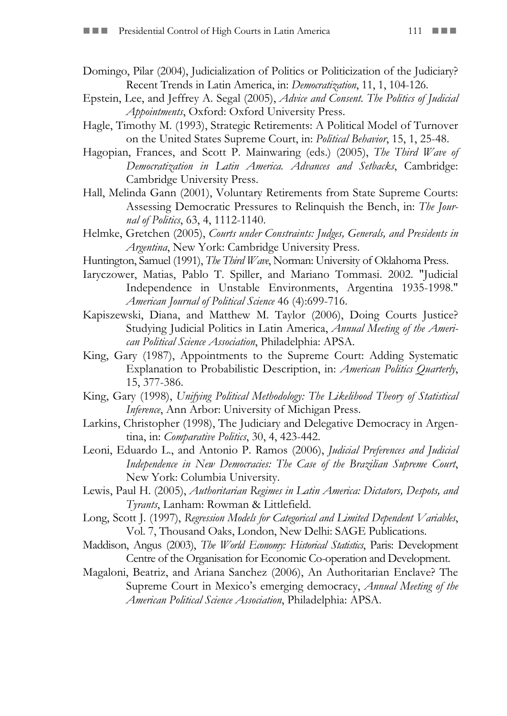- Domingo, Pilar (2004), Judicialization of Politics or Politicization of the Judiciary? Recent Trends in Latin America, in: *Democratization*, 11, 1, 104-126.
- Epstein, Lee, and Jeffrey A. Segal (2005), *Advice and Consent. The Politics of Judicial Appointments*, Oxford: Oxford University Press.
- Hagle, Timothy M. (1993), Strategic Retirements: A Political Model of Turnover on the United States Supreme Court, in: *Political Behavior*, 15, 1, 25-48.
- Hagopian, Frances, and Scott P. Mainwaring (eds.) (2005), *The Third Wave of Democratization in Latin America. Advances and Setbacks*, Cambridge: Cambridge University Press.
- Hall, Melinda Gann (2001), Voluntary Retirements from State Supreme Courts: Assessing Democratic Pressures to Relinquish the Bench, in: *The Journal of Politics*, 63, 4, 1112-1140.
- Helmke, Gretchen (2005), *Courts under Constraints: Judges, Generals, and Presidents in Argentina*, New York: Cambridge University Press.
- Huntington, Samuel (1991), *The Third Wave*, Norman: University of Oklahoma Press.
- Iaryczower, Matias, Pablo T. Spiller, and Mariano Tommasi. 2002. "Judicial Independence in Unstable Environments, Argentina 1935-1998." *American Journal of Political Science* 46 (4):699-716.
- Kapiszewski, Diana, and Matthew M. Taylor (2006), Doing Courts Justice? Studying Judicial Politics in Latin America, *Annual Meeting of the American Political Science Association*, Philadelphia: APSA.
- King, Gary (1987), Appointments to the Supreme Court: Adding Systematic Explanation to Probabilistic Description, in: *American Politics Quarterly*, 15, 377-386.
- King, Gary (1998), *Unifying Political Methodology: The Likelihood Theory of Statistical Inference*, Ann Arbor: University of Michigan Press.
- Larkins, Christopher (1998), The Judiciary and Delegative Democracy in Argentina, in: *Comparative Politics*, 30, 4, 423-442.
- Leoni, Eduardo L., and Antonio P. Ramos (2006), *Judicial Preferences and Judicial Independence in New Democracies: The Case of the Brazilian Supreme Court*, New York: Columbia University.
- Lewis, Paul H. (2005), *Authoritarian Regimes in Latin America: Dictators, Despots, and Tyrants*, Lanham: Rowman & Littlefield.
- Long, Scott J. (1997), *Regression Models for Categorical and Limited Dependent Variables*, Vol. 7, Thousand Oaks, London, New Delhi: SAGE Publications.
- Maddison, Angus (2003), *The World Economy: Historical Statistics*, Paris: Development Centre of the Organisation for Economic Co-operation and Development.
- Magaloni, Beatriz, and Ariana Sanchez (2006), An Authoritarian Enclave? The Supreme Court in Mexico's emerging democracy, *Annual Meeting of the American Political Science Association*, Philadelphia: APSA.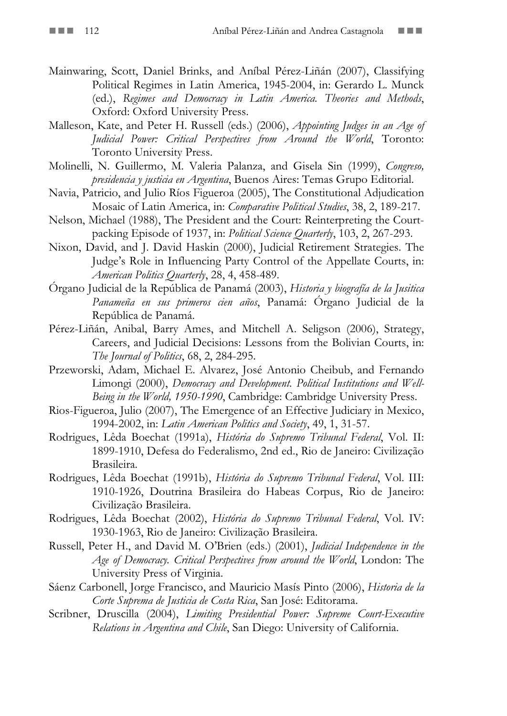- Mainwaring, Scott, Daniel Brinks, and Aníbal Pérez-Liñán (2007), Classifying Political Regimes in Latin America, 1945-2004, in: Gerardo L. Munck (ed.), *Regimes and Democracy in Latin America. Theories and Methods*, Oxford: Oxford University Press.
- Malleson, Kate, and Peter H. Russell (eds.) (2006), *Appointing Judges in an Age of Judicial Power: Critical Perspectives from Around the World*, Toronto: Toronto University Press.
- Molinelli, N. Guillermo, M. Valeria Palanza, and Gisela Sin (1999), *Congreso, presidencia y justicia en Argentina*, Buenos Aires: Temas Grupo Editorial.
- Navia, Patricio, and Julio Ríos Figueroa (2005), The Constitutional Adjudication Mosaic of Latin America, in: *Comparative Political Studies*, 38, 2, 189-217.
- Nelson, Michael (1988), The President and the Court: Reinterpreting the Courtpacking Episode of 1937, in: *Political Science Quarterly*, 103, 2, 267-293.
- Nixon, David, and J. David Haskin (2000), Judicial Retirement Strategies. The Judge's Role in Influencing Party Control of the Appellate Courts, in: *American Politics Quarterly*, 28, 4, 458-489.
- Órgano Judicial de la República de Panamá (2003), *Historia y biografía de la Jusitica Panameña en sus primeros cien años*, Panamá: Órgano Judicial de la República de Panamá.
- Pérez-Liñán, Anibal, Barry Ames, and Mitchell A. Seligson (2006), Strategy, Careers, and Judicial Decisions: Lessons from the Bolivian Courts, in: *The Journal of Politics*, 68, 2, 284-295.
- Przeworski, Adam, Michael E. Alvarez, José Antonio Cheibub, and Fernando Limongi (2000), *Democracy and Development. Political Institutions and Well-Being in the World, 1950-1990*, Cambridge: Cambridge University Press.
- Rios-Figueroa, Julio (2007), The Emergence of an Effective Judiciary in Mexico, 1994-2002, in: *Latin American Politics and Society*, 49, 1, 31-57.
- Rodrigues, Lêda Boechat (1991a), *História do Supremo Tribunal Federal*, Vol. II: 1899-1910, Defesa do Federalismo, 2nd ed., Rio de Janeiro: Civilização Brasileira.
- Rodrigues, Lêda Boechat (1991b), *História do Supremo Tribunal Federal*, Vol. III: 1910-1926, Doutrina Brasileira do Habeas Corpus, Rio de Janeiro: Civilização Brasileira.
- Rodrigues, Lêda Boechat (2002), *História do Supremo Tribunal Federal*, Vol. IV: 1930-1963, Rio de Janeiro: Civilização Brasileira.
- Russell, Peter H., and David M. O'Brien (eds.) (2001), *Judicial Independence in the Age of Democracy. Critical Perspectives from around the World*, London: The University Press of Virginia.
- Sáenz Carbonell, Jorge Francisco, and Mauricio Masís Pinto (2006), *Historia de la Corte Suprema de Justicia de Costa Rica*, San José: Editorama.
- Scribner, Druscilla (2004), *Limiting Presidential Power: Supreme Court-Executive Relations in Argentina and Chile*, San Diego: University of California.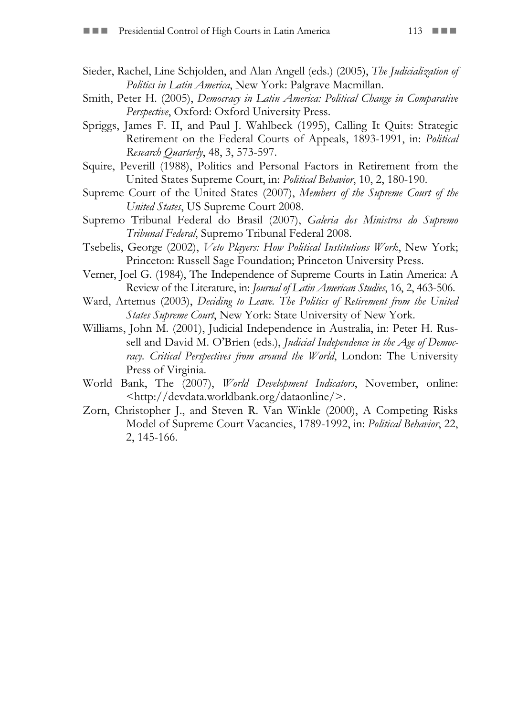- Sieder, Rachel, Line Schjolden, and Alan Angell (eds.) (2005), *The Judicialization of Politics in Latin America*, New York: Palgrave Macmillan.
- Smith, Peter H. (2005), *Democracy in Latin America: Political Change in Comparative Perspective*, Oxford: Oxford University Press.
- Spriggs, James F. II, and Paul J. Wahlbeck (1995), Calling It Quits: Strategic Retirement on the Federal Courts of Appeals, 1893-1991, in: *Political Research Quarterly*, 48, 3, 573-597.
- Squire, Peverill (1988), Politics and Personal Factors in Retirement from the United States Supreme Court, in: *Political Behavior*, 10, 2, 180-190.
- Supreme Court of the United States (2007), *Members of the Supreme Court of the United States*, US Supreme Court 2008.
- Supremo Tribunal Federal do Brasil (2007), *Galeria dos Ministros do Supremo Tribunal Federal*, Supremo Tribunal Federal 2008.
- Tsebelis, George (2002), *Veto Players: How Political Institutions Work*, New York; Princeton: Russell Sage Foundation; Princeton University Press.
- Verner, Joel G. (1984), The Independence of Supreme Courts in Latin America: A Review of the Literature, in: *Journal of Latin American Studies*, 16, 2, 463-506.
- Ward, Artemus (2003), *Deciding to Leave. The Politics of Retirement from the United States Supreme Court*, New York: State University of New York.
- Williams, John M. (2001), Judicial Independence in Australia, in: Peter H. Russell and David M. O'Brien (eds.), *Judicial Independence in the Age of Democracy. Critical Perspectives from around the World*, London: The University Press of Virginia.
- World Bank, The (2007), *World Development Indicators*, November, online: <http://devdata.worldbank.org/dataonline/>.
- Zorn, Christopher J., and Steven R. Van Winkle (2000), A Competing Risks Model of Supreme Court Vacancies, 1789-1992, in: *Political Behavior*, 22, 2, 145-166.